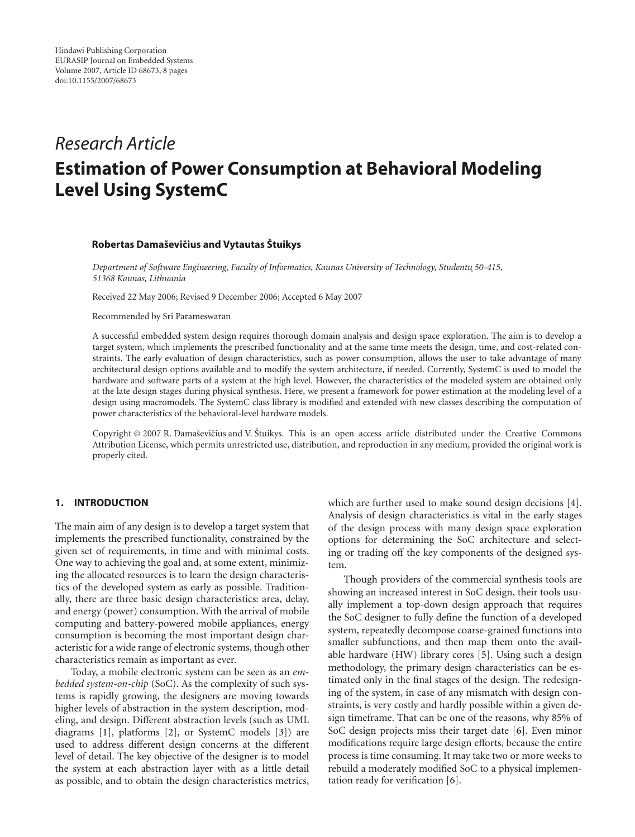# *Research Article* **Estimation of Power Consumption at Behavioral Modeling Level Using SystemC**

#### **Robertas Damasevi ˇ cius and Vytautas ˇ Stuikys ˇ**

*Department of Software Engineering, Faculty of Informatics, Kaunas University of Technology, Studentu¸50-415, 51368 Kaunas, Lithuania*

Received 22 May 2006; Revised 9 December 2006; Accepted 6 May 2007

Recommended by Sri Parameswaran

A successful embedded system design requires thorough domain analysis and design space exploration. The aim is to develop a target system, which implements the prescribed functionality and at the same time meets the design, time, and cost-related constraints. The early evaluation of design characteristics, such as power consumption, allows the user to take advantage of many architectural design options available and to modify the system architecture, if needed. Currently, SystemC is used to model the hardware and software parts of a system at the high level. However, the characteristics of the modeled system are obtained only at the late design stages during physical synthesis. Here, we present a framework for power estimation at the modeling level of a design using macromodels. The SystemC class library is modified and extended with new classes describing the computation of power characteristics of the behavioral-level hardware models.

Copyright © 2007 R. Damaševičius and V. Štuikys. This is an open access article distributed under the Creative Commons Attribution License, which permits unrestricted use, distribution, and reproduction in any medium, provided the original work is properly cited.

### **1. INTRODUCTION**

The main aim of any design is to develop a target system that implements the prescribed functionality, constrained by the given set of requirements, in time and with minimal costs. One way to achieving the goal and, at some extent, minimizing the allocated resources is to learn the design characteristics of the developed system as early as possible. Traditionally, there are three basic design characteristics: area, delay, and energy (power) consumption. With the arrival of mobile computing and battery-powered mobile appliances, energy consumption is becoming the most important design characteristic for a wide range of electronic systems, though other characteristics remain as important as ever.

Today, a mobile electronic system can be seen as an *embedded system-on-chip* (SoC). As the complexity of such systems is rapidly growing, the designers are moving towards higher levels of abstraction in the system description, modeling, and design. Different abstraction levels (such as UML diagrams [\[1\]](#page-6-1), platforms [\[2\]](#page-6-2), or SystemC models [\[3](#page-6-3)]) are used to address different design concerns at the different level of detail. The key objective of the designer is to model the system at each abstraction layer with as a little detail as possible, and to obtain the design characteristics metrics,

which are further used to make sound design decisions [\[4](#page-6-4)]. Analysis of design characteristics is vital in the early stages of the design process with many design space exploration options for determining the SoC architecture and selecting or trading off the key components of the designed system.

Though providers of the commercial synthesis tools are showing an increased interest in SoC design, their tools usually implement a top-down design approach that requires the SoC designer to fully define the function of a developed system, repeatedly decompose coarse-grained functions into smaller subfunctions, and then map them onto the available hardware (HW) library cores [\[5\]](#page-6-5). Using such a design methodology, the primary design characteristics can be estimated only in the final stages of the design. The redesigning of the system, in case of any mismatch with design constraints, is very costly and hardly possible within a given design timeframe. That can be one of the reasons, why 85% of SoC design projects miss their target date [\[6\]](#page-6-6). Even minor modifications require large design efforts, because the entire process is time consuming. It may take two or more weeks to rebuild a moderately modified SoC to a physical implementation ready for verification [\[6](#page-6-6)].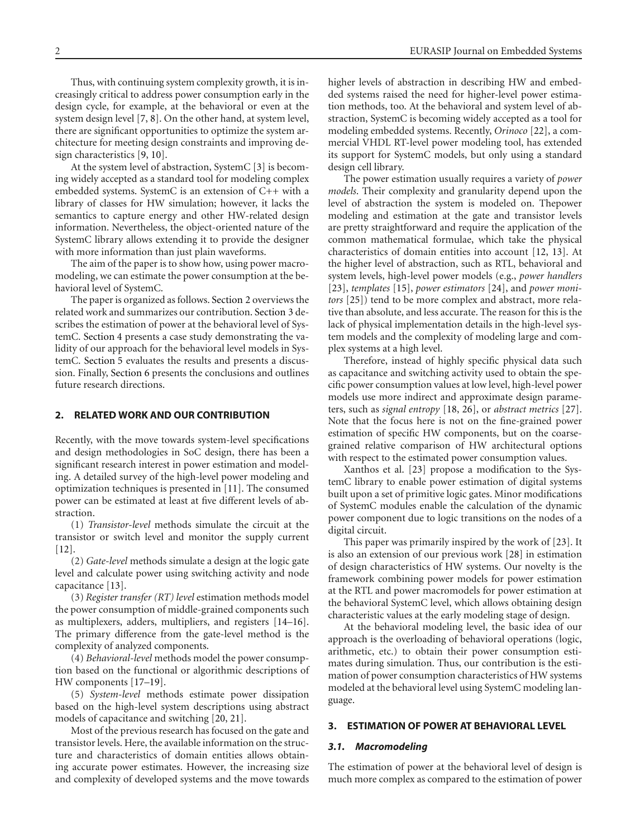Thus, with continuing system complexity growth, it is increasingly critical to address power consumption early in the design cycle, for example, at the behavioral or even at the system design level [\[7](#page-6-7), [8\]](#page-6-8). On the other hand, at system level, there are significant opportunities to optimize the system architecture for meeting design constraints and improving design characteristics [\[9](#page-6-9), [10](#page-6-10)].

At the system level of abstraction, SystemC [\[3](#page-6-3)] is becoming widely accepted as a standard tool for modeling complex embedded systems. SystemC is an extension of C++ with a library of classes for HW simulation; however, it lacks the semantics to capture energy and other HW-related design information. Nevertheless, the object-oriented nature of the SystemC library allows extending it to provide the designer with more information than just plain waveforms.

The aim of the paper is to show how, using power macromodeling, we can estimate the power consumption at the behavioral level of SystemC.

The paper is organized as follows. [Section 2](#page-1-0) overviews the related work and summarizes our contribution. [Section 3](#page-1-1) describes the estimation of power at the behavioral level of SystemC. [Section 4](#page-4-0) presents a case study demonstrating the validity of our approach for the behavioral level models in SystemC. [Section 5](#page-5-0) evaluates the results and presents a discussion. Finally, [Section 6](#page-5-1) presents the conclusions and outlines future research directions.

#### <span id="page-1-0"></span>**2. RELATED WORK AND OUR CONTRIBUTION**

Recently, with the move towards system-level specifications and design methodologies in SoC design, there has been a significant research interest in power estimation and modeling. A detailed survey of the high-level power modeling and optimization techniques is presented in [\[11\]](#page-6-11). The consumed power can be estimated at least at five different levels of abstraction.

(1) *Transistor-level* methods simulate the circuit at the transistor or switch level and monitor the supply current [\[12](#page-6-12)].

(2) *Gate-level* methods simulate a design at the logic gate level and calculate power using switching activity and node capacitance [\[13\]](#page-6-13).

(3) *Register transfer (RT) level* estimation methods model the power consumption of middle-grained components such as multiplexers, adders, multipliers, and registers [\[14](#page-6-14)[–16](#page-6-15)]. The primary difference from the gate-level method is the complexity of analyzed components.

(4) *Behavioral-level* methods model the power consumption based on the functional or algorithmic descriptions of HW components [\[17](#page-6-16)[–19\]](#page-6-17).

(5) *System-level* methods estimate power dissipation based on the high-level system descriptions using abstract models of capacitance and switching [\[20,](#page-6-18) [21](#page-6-19)].

Most of the previous research has focused on the gate and transistor levels. Here, the available information on the structure and characteristics of domain entities allows obtaining accurate power estimates. However, the increasing size and complexity of developed systems and the move towards higher levels of abstraction in describing HW and embedded systems raised the need for higher-level power estimation methods, too. At the behavioral and system level of abstraction, SystemC is becoming widely accepted as a tool for modeling embedded systems. Recently, *Orinoco* [\[22](#page-6-20)], a commercial VHDL RT-level power modeling tool, has extended its support for SystemC models, but only using a standard design cell library.

The power estimation usually requires a variety of *power models*. Their complexity and granularity depend upon the level of abstraction the system is modeled on. Thepower modeling and estimation at the gate and transistor levels are pretty straightforward and require the application of the common mathematical formulae, which take the physical characteristics of domain entities into account [\[12](#page-6-12), [13](#page-6-13)]. At the higher level of abstraction, such as RTL, behavioral and system levels, high-level power models (e.g., *power handlers* [\[23](#page-6-21)], *templates* [\[15](#page-6-22)], *power estimators* [\[24](#page-6-23)], and *power monitors* [\[25](#page-6-24)]) tend to be more complex and abstract, more relative than absolute, and less accurate. The reason for this is the lack of physical implementation details in the high-level system models and the complexity of modeling large and complex systems at a high level.

Therefore, instead of highly specific physical data such as capacitance and switching activity used to obtain the specific power consumption values at low level, high-level power models use more indirect and approximate design parameters, such as *signal entropy* [\[18,](#page-6-25) [26\]](#page-6-26), or *abstract metrics* [\[27](#page-6-27)]. Note that the focus here is not on the fine-grained power estimation of specific HW components, but on the coarsegrained relative comparison of HW architectural options with respect to the estimated power consumption values.

Xanthos et al. [\[23](#page-6-21)] propose a modification to the SystemC library to enable power estimation of digital systems built upon a set of primitive logic gates. Minor modifications of SystemC modules enable the calculation of the dynamic power component due to logic transitions on the nodes of a digital circuit.

This paper was primarily inspired by the work of [\[23](#page-6-21)]. It is also an extension of our previous work [\[28\]](#page-6-28) in estimation of design characteristics of HW systems. Our novelty is the framework combining power models for power estimation at the RTL and power macromodels for power estimation at the behavioral SystemC level, which allows obtaining design characteristic values at the early modeling stage of design.

At the behavioral modeling level, the basic idea of our approach is the overloading of behavioral operations (logic, arithmetic, etc.) to obtain their power consumption estimates during simulation. Thus, our contribution is the estimation of power consumption characteristics of HW systems modeled at the behavioral level using SystemC modeling language.

## <span id="page-1-1"></span>**3. ESTIMATION OF POWER AT BEHAVIORAL LEVEL**

#### *3.1. Macromodeling*

The estimation of power at the behavioral level of design is much more complex as compared to the estimation of power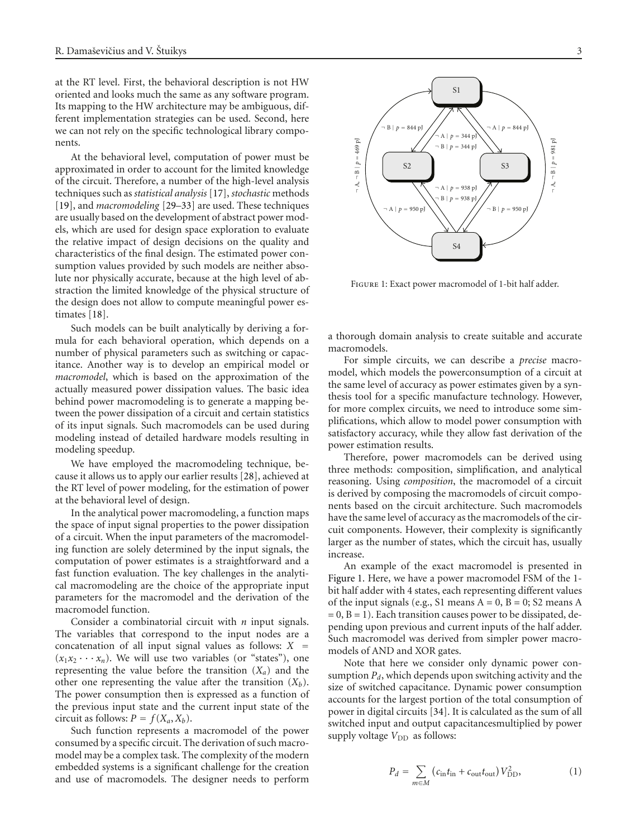at the RT level. First, the behavioral description is not HW oriented and looks much the same as any software program. Its mapping to the HW architecture may be ambiguous, different implementation strategies can be used. Second, here we can not rely on the specific technological library components.

At the behavioral level, computation of power must be approximated in order to account for the limited knowledge of the circuit. Therefore, a number of the high-level analysis techniques such as *statistical analysis* [\[17\]](#page-6-16), *stochastic* methods [\[19](#page-6-17)], and *macromodeling* [\[29](#page-6-29)[–33\]](#page-7-0) are used. These techniques are usually based on the development of abstract power models, which are used for design space exploration to evaluate the relative impact of design decisions on the quality and characteristics of the final design. The estimated power consumption values provided by such models are neither absolute nor physically accurate, because at the high level of abstraction the limited knowledge of the physical structure of the design does not allow to compute meaningful power estimates [\[18\]](#page-6-25).

Such models can be built analytically by deriving a formula for each behavioral operation, which depends on a number of physical parameters such as switching or capacitance. Another way is to develop an empirical model or *macromodel*, which is based on the approximation of the actually measured power dissipation values. The basic idea behind power macromodeling is to generate a mapping between the power dissipation of a circuit and certain statistics of its input signals. Such macromodels can be used during modeling instead of detailed hardware models resulting in modeling speedup.

We have employed the macromodeling technique, because it allows us to apply our earlier results [\[28](#page-6-28)], achieved at the RT level of power modeling, for the estimation of power at the behavioral level of design.

In the analytical power macromodeling, a function maps the space of input signal properties to the power dissipation of a circuit. When the input parameters of the macromodeling function are solely determined by the input signals, the computation of power estimates is a straightforward and a fast function evaluation. The key challenges in the analytical macromodeling are the choice of the appropriate input parameters for the macromodel and the derivation of the macromodel function.

Consider a combinatorial circuit with *n* input signals. The variables that correspond to the input nodes are a concatenation of all input signal values as follows:  $X =$  $(x_1x_2 \cdots x_n)$ . We will use two variables (or "states"), one representing the value before the transition  $(X_a)$  and the other one representing the value after the transition  $(X_b)$ . The power consumption then is expressed as a function of the previous input state and the current input state of the circuit as follows:  $P = f(X_a, X_b)$ .

Such function represents a macromodel of the power consumed by a specific circuit. The derivation of such macromodel may be a complex task. The complexity of the modern embedded systems is a significant challenge for the creation and use of macromodels. The designer needs to perform



<span id="page-2-0"></span>Figure 1: Exact power macromodel of 1-bit half adder.

a thorough domain analysis to create suitable and accurate macromodels.

For simple circuits, we can describe a *precise* macromodel, which models the powerconsumption of a circuit at the same level of accuracy as power estimates given by a synthesis tool for a specific manufacture technology. However, for more complex circuits, we need to introduce some simplifications, which allow to model power consumption with satisfactory accuracy, while they allow fast derivation of the power estimation results.

Therefore, power macromodels can be derived using three methods: composition, simplification, and analytical reasoning. Using *composition*, the macromodel of a circuit is derived by composing the macromodels of circuit components based on the circuit architecture. Such macromodels have the same level of accuracy as the macromodels of the circuit components. However, their complexity is significantly larger as the number of states, which the circuit has, usually increase.

An example of the exact macromodel is presented in [Figure 1.](#page-2-0) Here, we have a power macromodel FSM of the 1 bit half adder with 4 states, each representing different values of the input signals (e.g., S1 means  $A = 0$ ,  $B = 0$ ; S2 means A  $= 0$ ,  $B = 1$ ). Each transition causes power to be dissipated, depending upon previous and current inputs of the half adder. Such macromodel was derived from simpler power macromodels of AND and XOR gates.

Note that here we consider only dynamic power consumption  $P_d$ , which depends upon switching activity and the size of switched capacitance. Dynamic power consumption accounts for the largest portion of the total consumption of power in digital circuits [\[34](#page-7-1)]. It is calculated as the sum of all switched input and output capacitancesmultiplied by power supply voltage  $V_{\text{DD}}$  as follows:

<span id="page-2-1"></span>
$$
P_d = \sum_{m \in M} \left( c_{\text{in}} t_{\text{in}} + c_{\text{out}} t_{\text{out}} \right) V_{\text{DD}}^2, \tag{1}
$$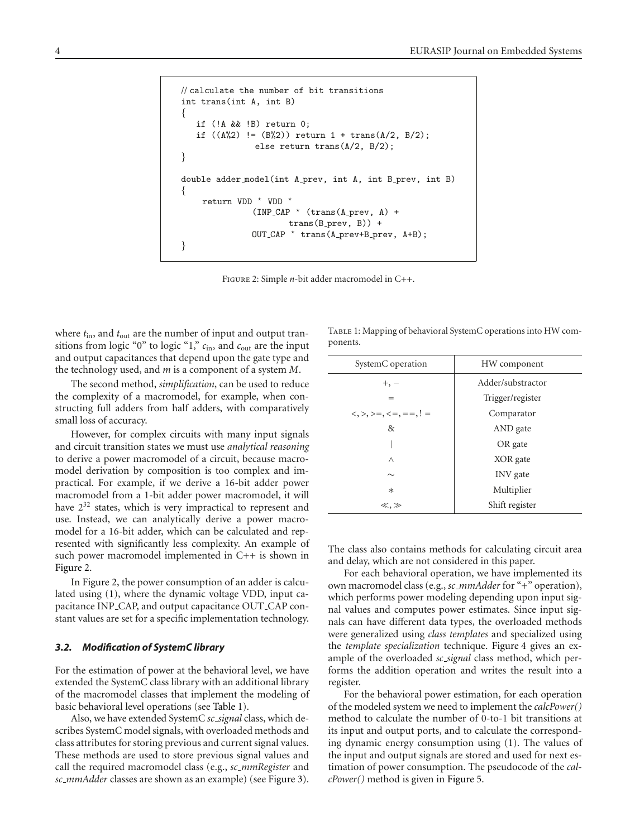```
// calculate the number of bit transitions
int trans(int A, int B)
{
   if (!A && !B) return 0;
   if ((A<sub>0</sub>'/2) != (B<sub>0</sub>'/2) return 1 + trans(A/2, B/2);
                else return trans(A/2, B/2);
}
double adder_model(int A_prev, int A, int B_prev, int B)
{
     return VDD -
 VDD -

                (INP CAP -
 (trans(A prev, A) +
                        trans(B_{prev}, B)) +OUT_CAP \star trans(A_prev+B_prev, A+B);
}
```
<span id="page-3-0"></span>Figure 2: Simple *n*-bit adder macromodel in C++.

where  $t_{\text{in}}$ , and  $t_{\text{out}}$  are the number of input and output transitions from logic "0" to logic "1," *c*in, and *c*out are the input and output capacitances that depend upon the gate type and the technology used, and *m* is a component of a system *M*.

The second method, *simplification*, can be used to reduce the complexity of a macromodel, for example, when constructing full adders from half adders, with comparatively small loss of accuracy.

However, for complex circuits with many input signals and circuit transition states we must use *analytical reasoning* to derive a power macromodel of a circuit, because macromodel derivation by composition is too complex and impractical. For example, if we derive a 16-bit adder power macromodel from a 1-bit adder power macromodel, it will have  $2^{32}$  states, which is very impractical to represent and use. Instead, we can analytically derive a power macromodel for a 16-bit adder, which can be calculated and represented with significantly less complexity. An example of such power macromodel implemented in C++ is shown in [Figure 2.](#page-3-0)

In [Figure 2,](#page-3-0) the power consumption of an adder is calculated using [\(1\)](#page-2-1), where the dynamic voltage VDD, input capacitance INP CAP, and output capacitance OUT CAP constant values are set for a specific implementation technology.

#### *3.2. Modification of SystemC library*

For the estimation of power at the behavioral level, we have extended the SystemC class library with an additional library of the macromodel classes that implement the modeling of basic behavioral level operations (see [Table 1\)](#page-3-1).

Also, we have extended SystemC *sc signal* class, which describes SystemC model signals, with overloaded methods and class attributes for storing previous and current signal values. These methods are used to store previous signal values and call the required macromodel class (e.g., *sc mmRegister* and *sc mmAdder* classes are shown as an example) (see [Figure 3\)](#page-4-1).

<span id="page-3-1"></span>TABLE 1: Mapping of behavioral SystemC operations into HW components.

| SystemC operation                                    | HW component      |
|------------------------------------------------------|-------------------|
| $+,-$                                                | Adder/substractor |
| $=$                                                  | Trigger/register  |
| $\langle , \rangle, \rangle =, \langle = , == , ! =$ | Comparator        |
| &                                                    | AND gate          |
|                                                      | OR gate           |
| Λ                                                    | XOR gate          |
| $\sim$                                               | INV gate          |
| $\ast$                                               | Multiplier        |
| $\ll, \gg$                                           | Shift register    |

The class also contains methods for calculating circuit area and delay, which are not considered in this paper.

For each behavioral operation, we have implemented its own macromodel class (e.g., *sc mmAdder* for "+" operation), which performs power modeling depending upon input signal values and computes power estimates. Since input signals can have different data types, the overloaded methods were generalized using *class templates* and specialized using the *template specialization* technique. [Figure 4](#page-4-2) gives an example of the overloaded *sc signal* class method, which performs the addition operation and writes the result into a register.

For the behavioral power estimation, for each operation of the modeled system we need to implement the *calcPower()* method to calculate the number of 0-to-1 bit transitions at its input and output ports, and to calculate the corresponding dynamic energy consumption using [\(1\)](#page-2-1). The values of the input and output signals are stored and used for next estimation of power consumption. The pseudocode of the *calcPower()* method is given in [Figure 5.](#page-4-3)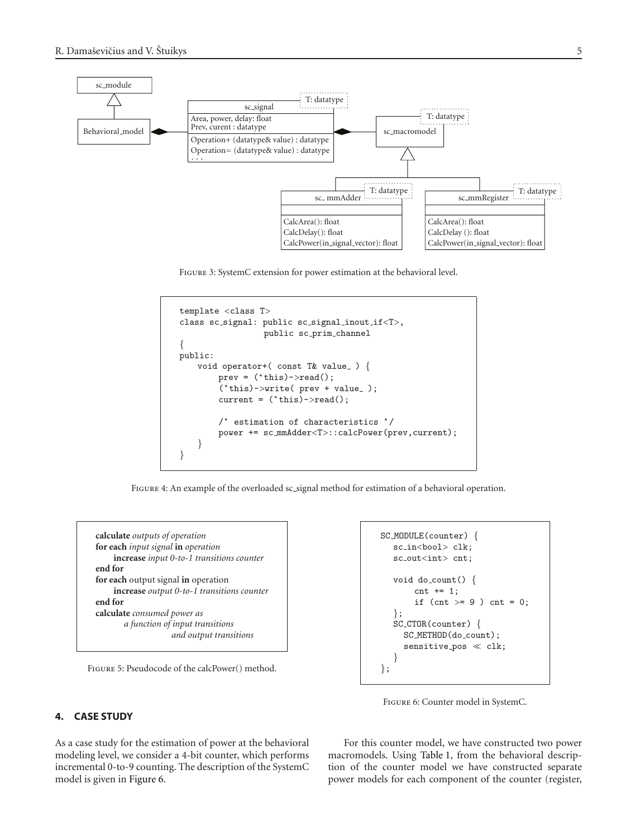

<span id="page-4-1"></span>

```
template <class T>
class sc signal: public sc signal inout if<T>,
                 public sc prim channel
{
public:
   void operator+( const T& value ) {
        prev = (-
this)->read();
        .<br>(*this)->write( prev + value_ );
        current = (*this)->read();
        /-
 estimation of characteristics -
/
        power += sc mmAdder<T>::calcPower(prev,current);
   }
}
```
FIGURE 4: An example of the overloaded sc\_signal method for estimation of a behavioral operation.

<span id="page-4-2"></span>

<span id="page-4-3"></span>Figure 5: Pseudocode of the calcPower() method.

#### <span id="page-4-0"></span>**4. CASE STUDY**

As a case study for the estimation of power at the behavioral modeling level, we consider a 4-bit counter, which performs incremental 0-to-9 counting. The description of the SystemC model is given in [Figure 6.](#page-4-4)

```
SC MODULE(counter) {
  sc in<bool> clk;
  sc out<int> cnt;
  void do count() {
       cnt += 1;
       if (cnt >= 9 ) cnt = 0;
  };
  SC CTOR(counter) {
    SC METHOD(do count);
     sensitive pos \ll clk;
  }
};
```
Figure 6: Counter model in SystemC.

<span id="page-4-4"></span>For this counter model, we have constructed two power macromodels. Using [Table 1,](#page-3-1) from the behavioral description of the counter model we have constructed separate power models for each component of the counter (register,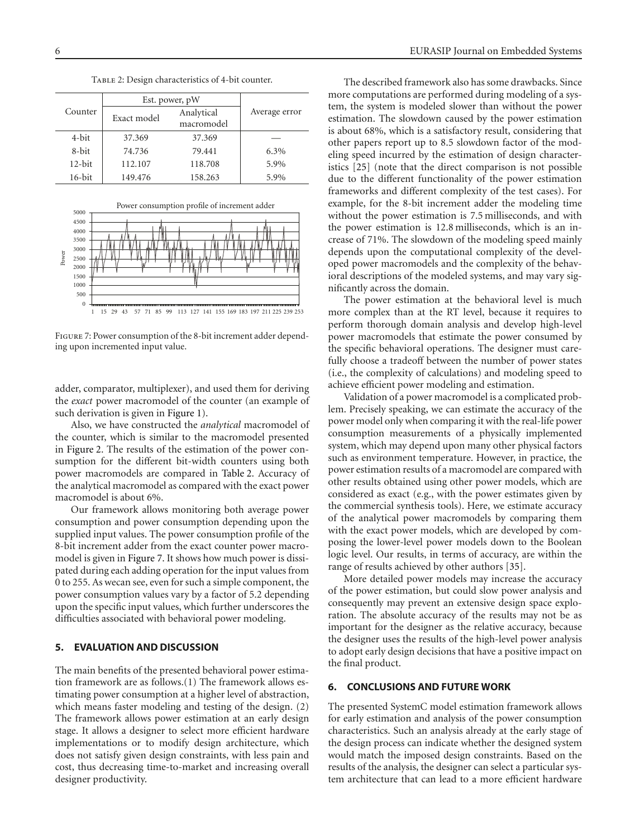<span id="page-5-2"></span>Counter Est. power, pW Exact model Analytical Average error macromodel 4-bit 37.369 37.369 — 8-bit 74.736 79.441 6.3% 12-bit 112.107 118.708 5.9% 16-bit 149.476 158.263 5.9%

Table 2: Design characteristics of 4-bit counter.



<span id="page-5-3"></span>Figure 7: Power consumption of the 8-bit increment adder depending upon incremented input value.

adder, comparator, multiplexer), and used them for deriving the *exact* power macromodel of the counter (an example of such derivation is given in [Figure 1\)](#page-2-0).

Also, we have constructed the *analytical* macromodel of the counter, which is similar to the macromodel presented in [Figure 2.](#page-3-0) The results of the estimation of the power consumption for the different bit-width counters using both power macromodels are compared in [Table 2.](#page-5-2) Accuracy of the analytical macromodel as compared with the exact power macromodel is about 6%.

Our framework allows monitoring both average power consumption and power consumption depending upon the supplied input values. The power consumption profile of the 8-bit increment adder from the exact counter power macromodel is given in [Figure 7.](#page-5-3) It shows how much power is dissipated during each adding operation for the input values from 0 to 255. As wecan see, even for such a simple component, the power consumption values vary by a factor of 5.2 depending upon the specific input values, which further underscores the difficulties associated with behavioral power modeling.

### <span id="page-5-0"></span>**5. EVALUATION AND DISCUSSION**

The main benefits of the presented behavioral power estimation framework are as follows.(1) The framework allows estimating power consumption at a higher level of abstraction, which means faster modeling and testing of the design. (2) The framework allows power estimation at an early design stage. It allows a designer to select more efficient hardware implementations or to modify design architecture, which does not satisfy given design constraints, with less pain and cost, thus decreasing time-to-market and increasing overall designer productivity.

The described framework also has some drawbacks. Since more computations are performed during modeling of a system, the system is modeled slower than without the power estimation. The slowdown caused by the power estimation is about 68%, which is a satisfactory result, considering that other papers report up to 8.5 slowdown factor of the modeling speed incurred by the estimation of design characteristics [\[25\]](#page-6-24) (note that the direct comparison is not possible due to the different functionality of the power estimation frameworks and different complexity of the test cases). For example, for the 8-bit increment adder the modeling time without the power estimation is 7.5 milliseconds, and with the power estimation is 12.8 milliseconds, which is an increase of 71%. The slowdown of the modeling speed mainly depends upon the computational complexity of the developed power macromodels and the complexity of the behavioral descriptions of the modeled systems, and may vary significantly across the domain.

The power estimation at the behavioral level is much more complex than at the RT level, because it requires to perform thorough domain analysis and develop high-level power macromodels that estimate the power consumed by the specific behavioral operations. The designer must carefully choose a tradeoff between the number of power states (i.e., the complexity of calculations) and modeling speed to achieve efficient power modeling and estimation.

Validation of a power macromodel is a complicated problem. Precisely speaking, we can estimate the accuracy of the power model only when comparing it with the real-life power consumption measurements of a physically implemented system, which may depend upon many other physical factors such as environment temperature. However, in practice, the power estimation results of a macromodel are compared with other results obtained using other power models, which are considered as exact (e.g., with the power estimates given by the commercial synthesis tools). Here, we estimate accuracy of the analytical power macromodels by comparing them with the exact power models, which are developed by composing the lower-level power models down to the Boolean logic level. Our results, in terms of accuracy, are within the range of results achieved by other authors [\[35](#page-7-2)].

More detailed power models may increase the accuracy of the power estimation, but could slow power analysis and consequently may prevent an extensive design space exploration. The absolute accuracy of the results may not be as important for the designer as the relative accuracy, because the designer uses the results of the high-level power analysis to adopt early design decisions that have a positive impact on the final product.

## <span id="page-5-1"></span>**6. CONCLUSIONS AND FUTURE WORK**

The presented SystemC model estimation framework allows for early estimation and analysis of the power consumption characteristics. Such an analysis already at the early stage of the design process can indicate whether the designed system would match the imposed design constraints. Based on the results of the analysis, the designer can select a particular system architecture that can lead to a more efficient hardware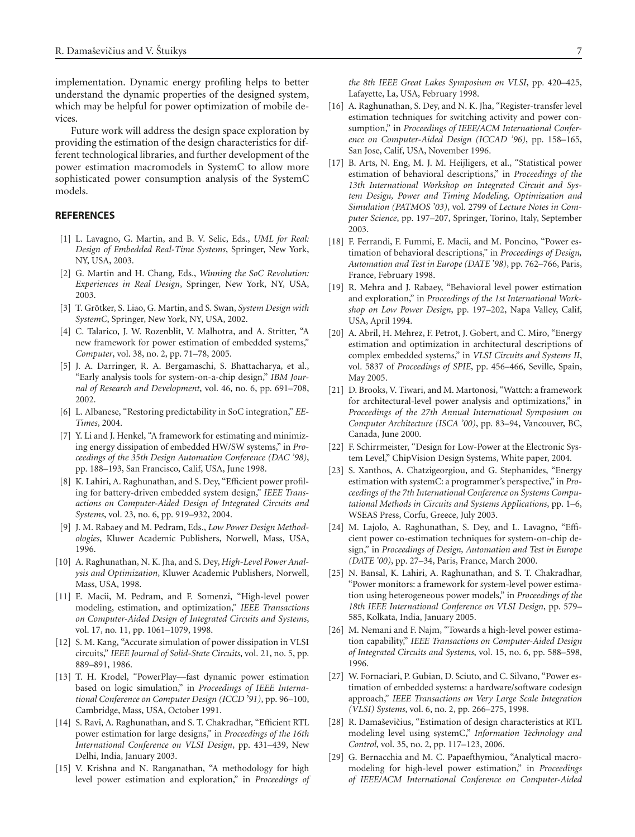implementation. Dynamic energy profiling helps to better understand the dynamic properties of the designed system, which may be helpful for power optimization of mobile devices.

Future work will address the design space exploration by providing the estimation of the design characteristics for different technological libraries, and further development of the power estimation macromodels in SystemC to allow more sophisticated power consumption analysis of the SystemC models.

## <span id="page-6-1"></span><span id="page-6-0"></span>**REFERENCES**

- [1] L. Lavagno, G. Martin, and B. V. Selic, Eds., *UML for Real: Design of Embedded Real-Time Systems*, Springer, New York, NY, USA, 2003.
- <span id="page-6-2"></span>[2] G. Martin and H. Chang, Eds., *Winning the SoC Revolution: Experiences in Real Design*, Springer, New York, NY, USA, 2003.
- <span id="page-6-3"></span>[3] T. Grötker, S. Liao, G. Martin, and S. Swan, System Design with *SystemC*, Springer, New York, NY, USA, 2002.
- <span id="page-6-4"></span>[4] C. Talarico, J. W. Rozenblit, V. Malhotra, and A. Stritter, "A new framework for power estimation of embedded systems," *Computer*, vol. 38, no. 2, pp. 71–78, 2005.
- <span id="page-6-5"></span>[5] J. A. Darringer, R. A. Bergamaschi, S. Bhattacharya, et al., "Early analysis tools for system-on-a-chip design," *IBM Journal of Research and Development*, vol. 46, no. 6, pp. 691–708, 2002.
- <span id="page-6-6"></span>[6] L. Albanese, "Restoring predictability in SoC integration," *EE-Times*, 2004.
- <span id="page-6-7"></span>[7] Y. Li and J. Henkel, "A framework for estimating and minimizing energy dissipation of embedded HW/SW systems," in *Proceedings of the 35th Design Automation Conference (DAC '98)*, pp. 188–193, San Francisco, Calif, USA, June 1998.
- <span id="page-6-8"></span>[8] K. Lahiri, A. Raghunathan, and S. Dey, "Efficient power profiling for battery-driven embedded system design," *IEEE Transactions on Computer-Aided Design of Integrated Circuits and Systems*, vol. 23, no. 6, pp. 919–932, 2004.
- <span id="page-6-9"></span>[9] J. M. Rabaey and M. Pedram, Eds., *Low Power Design Methodologies*, Kluwer Academic Publishers, Norwell, Mass, USA, 1996.
- <span id="page-6-10"></span>[10] A. Raghunathan, N. K. Jha, and S. Dey, *High-Level Power Analysis and Optimization*, Kluwer Academic Publishers, Norwell, Mass, USA, 1998.
- <span id="page-6-11"></span>[11] E. Macii, M. Pedram, and F. Somenzi, "High-level power modeling, estimation, and optimization," *IEEE Transactions on Computer-Aided Design of Integrated Circuits and Systems*, vol. 17, no. 11, pp. 1061–1079, 1998.
- <span id="page-6-12"></span>[12] S. M. Kang, "Accurate simulation of power dissipation in VLSI circuits," *IEEE Journal of Solid-State Circuits*, vol. 21, no. 5, pp. 889–891, 1986.
- <span id="page-6-13"></span>[13] T. H. Krodel, "PowerPlay—fast dynamic power estimation based on logic simulation," in *Proceedings of IEEE International Conference on Computer Design (ICCD '91)*, pp. 96–100, Cambridge, Mass, USA, October 1991.
- <span id="page-6-14"></span>[14] S. Ravi, A. Raghunathan, and S. T. Chakradhar, "Efficient RTL power estimation for large designs," in *Proceedings of the 16th International Conference on VLSI Design*, pp. 431–439, New Delhi, India, January 2003.
- <span id="page-6-22"></span>[15] V. Krishna and N. Ranganathan, "A methodology for high level power estimation and exploration," in *Proceedings of*

*the 8th IEEE Great Lakes Symposium on VLSI*, pp. 420–425, Lafayette, La, USA, February 1998.

- <span id="page-6-15"></span>[16] A. Raghunathan, S. Dey, and N. K. Jha, "Register-transfer level estimation techniques for switching activity and power consumption," in *Proceedings of IEEE/ACM International Conference on Computer-Aided Design (ICCAD '96)*, pp. 158–165, San Jose, Calif, USA, November 1996.
- <span id="page-6-16"></span>[17] B. Arts, N. Eng, M. J. M. Heijligers, et al., "Statistical power estimation of behavioral descriptions," in *Proceedings of the 13th International Workshop on Integrated Circuit and System Design, Power and Timing Modeling, Optimization and Simulation (PATMOS '03)*, vol. 2799 of *Lecture Notes in Computer Science*, pp. 197–207, Springer, Torino, Italy, September 2003.
- <span id="page-6-25"></span>[18] F. Ferrandi, F. Fummi, E. Macii, and M. Poncino, "Power estimation of behavioral descriptions," in *Proceedings of Design, Automation and Test in Europe (DATE '98)*, pp. 762–766, Paris, France, February 1998.
- <span id="page-6-17"></span>[19] R. Mehra and J. Rabaey, "Behavioral level power estimation and exploration," in *Proceedings of the 1st International Workshop on Low Power Design*, pp. 197–202, Napa Valley, Calif, USA, April 1994.
- <span id="page-6-18"></span>[20] A. Abril, H. Mehrez, F. Petrot, J. Gobert, and C. Miro, "Energy estimation and optimization in architectural descriptions of complex embedded systems," in *VLSI Circuits and Systems II*, vol. 5837 of *Proceedings of SPIE*, pp. 456–466, Seville, Spain, May 2005.
- <span id="page-6-19"></span>[21] D. Brooks, V. Tiwari, and M. Martonosi, "Wattch: a framework for architectural-level power analysis and optimizations," in *Proceedings of the 27th Annual International Symposium on Computer Architecture (ISCA '00)*, pp. 83–94, Vancouver, BC, Canada, June 2000.
- <span id="page-6-20"></span>[22] F. Schirrmeister, "Design for Low-Power at the Electronic System Level," ChipVision Design Systems, White paper, 2004.
- <span id="page-6-21"></span>[23] S. Xanthos, A. Chatzigeorgiou, and G. Stephanides, "Energy estimation with systemC: a programmer's perspective," in *Proceedings of the 7th International Conference on Systems Computational Methods in Circuits and Systems Applications*, pp. 1–6, WSEAS Press, Corfu, Greece, July 2003.
- <span id="page-6-23"></span>[24] M. Lajolo, A. Raghunathan, S. Dey, and L. Lavagno, "Efficient power co-estimation techniques for system-on-chip design," in *Proceedings of Design, Automation and Test in Europe (DATE '00)*, pp. 27–34, Paris, France, March 2000.
- <span id="page-6-24"></span>[25] N. Bansal, K. Lahiri, A. Raghunathan, and S. T. Chakradhar, "Power monitors: a framework for system-level power estimation using heterogeneous power models," in *Proceedings of the 18th IEEE International Conference on VLSI Design*, pp. 579– 585, Kolkata, India, January 2005.
- <span id="page-6-26"></span>[26] M. Nemani and F. Najm, "Towards a high-level power estimation capability," *IEEE Transactions on Computer-Aided Design of Integrated Circuits and Systems*, vol. 15, no. 6, pp. 588–598, 1996.
- <span id="page-6-27"></span>[27] W. Fornaciari, P. Gubian, D. Sciuto, and C. Silvano, "Power estimation of embedded systems: a hardware/software codesign approach," *IEEE Transactions on Very Large Scale Integration (VLSI) Systems*, vol. 6, no. 2, pp. 266–275, 1998.
- <span id="page-6-28"></span>[28] R. Damaševičius, "Estimation of design characteristics at RTL modeling level using systemC," *Information Technology and Control*, vol. 35, no. 2, pp. 117–123, 2006.
- <span id="page-6-29"></span>[29] G. Bernacchia and M. C. Papaefthymiou, "Analytical macromodeling for high-level power estimation," in *Proceedings of IEEE/ACM International Conference on Computer-Aided*